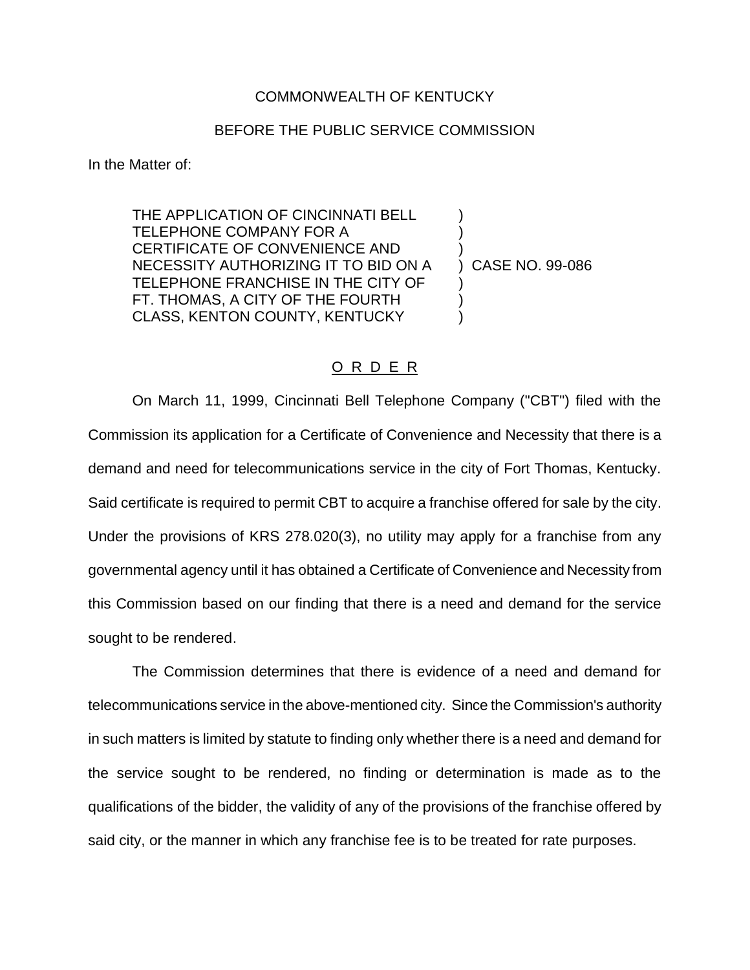## COMMONWEALTH OF KENTUCKY

## BEFORE THE PUBLIC SERVICE COMMISSION

In the Matter of:

THE APPLICATION OF CINCINNATI BELL TELEPHONE COMPANY FOR A ) CERTIFICATE OF CONVENIENCE AND ) NECESSITY AUTHORIZING IT TO BID ON A ) CASE NO. 99-086 TELEPHONE FRANCHISE IN THE CITY OF ) FT. THOMAS, A CITY OF THE FOURTH CLASS, KENTON COUNTY, KENTUCKY )

## O R D E R

On March 11, 1999, Cincinnati Bell Telephone Company ("CBT") filed with the Commission its application for a Certificate of Convenience and Necessity that there is a demand and need for telecommunications service in the city of Fort Thomas, Kentucky. Said certificate is required to permit CBT to acquire a franchise offered for sale by the city. Under the provisions of KRS 278.020(3), no utility may apply for a franchise from any governmental agency until it has obtained a Certificate of Convenience and Necessity from this Commission based on our finding that there is a need and demand for the service sought to be rendered.

The Commission determines that there is evidence of a need and demand for telecommunications service in the above-mentioned city. Since the Commission's authority in such matters is limited by statute to finding only whether there is a need and demand for the service sought to be rendered, no finding or determination is made as to the qualifications of the bidder, the validity of any of the provisions of the franchise offered by said city, or the manner in which any franchise fee is to be treated for rate purposes.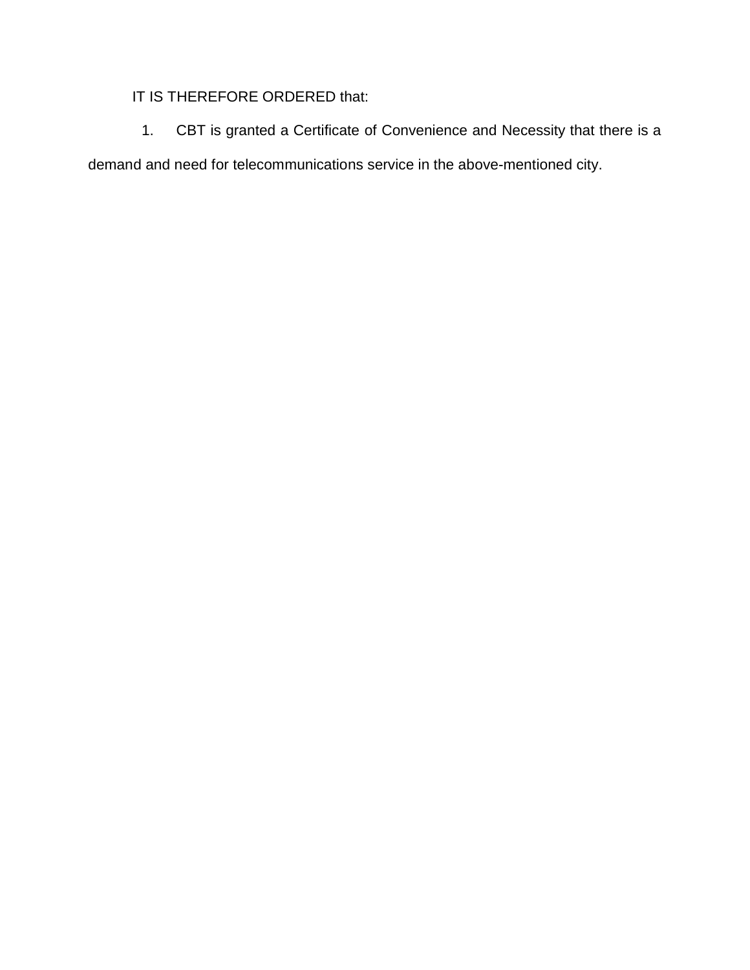## IT IS THEREFORE ORDERED that:

1. CBT is granted a Certificate of Convenience and Necessity that there is a demand and need for telecommunications service in the above-mentioned city.